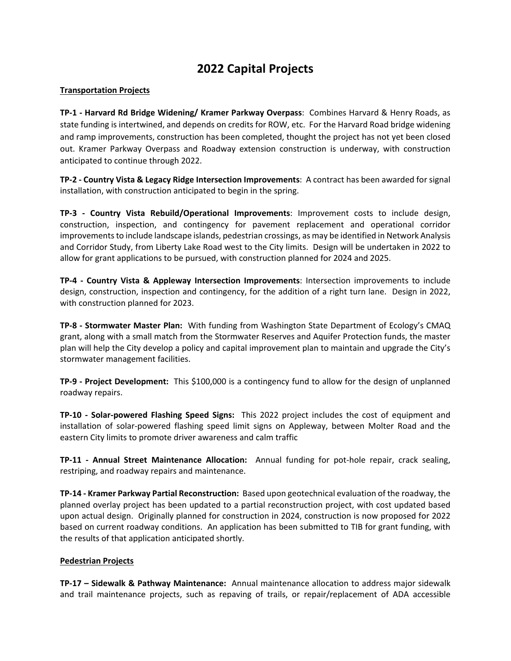## **2022 Capital Projects**

## **Transportation Projects**

**TP-1 - Harvard Rd Bridge Widening/ Kramer Parkway Overpass**: Combines Harvard & Henry Roads, as state funding is intertwined, and depends on credits for ROW, etc. For the Harvard Road bridge widening and ramp improvements, construction has been completed, thought the project has not yet been closed out. Kramer Parkway Overpass and Roadway extension construction is underway, with construction anticipated to continue through 2022.

**TP-2 - Country Vista & Legacy Ridge Intersection Improvements**: A contract has been awarded for signal installation, with construction anticipated to begin in the spring.

**TP-3 - Country Vista Rebuild/Operational Improvements**: Improvement costs to include design, construction, inspection, and contingency for pavement replacement and operational corridor improvements to include landscape islands, pedestrian crossings, as may be identified in Network Analysis and Corridor Study, from Liberty Lake Road west to the City limits. Design will be undertaken in 2022 to allow for grant applications to be pursued, with construction planned for 2024 and 2025.

**TP-4 - Country Vista & Appleway Intersection Improvements**: Intersection improvements to include design, construction, inspection and contingency, for the addition of a right turn lane. Design in 2022, with construction planned for 2023.

**TP-8 - Stormwater Master Plan:** With funding from Washington State Department of Ecology's CMAQ grant, along with a small match from the Stormwater Reserves and Aquifer Protection funds, the master plan will help the City develop a policy and capital improvement plan to maintain and upgrade the City's stormwater management facilities.

**TP-9 - Project Development:** This \$100,000 is a contingency fund to allow for the design of unplanned roadway repairs.

**TP-10 - Solar-powered Flashing Speed Signs:** This 2022 project includes the cost of equipment and installation of solar-powered flashing speed limit signs on Appleway, between Molter Road and the eastern City limits to promote driver awareness and calm traffic

**TP-11 - Annual Street Maintenance Allocation:** Annual funding for pot-hole repair, crack sealing, restriping, and roadway repairs and maintenance.

**TP-14 - Kramer Parkway Partial Reconstruction:** Based upon geotechnical evaluation of the roadway, the planned overlay project has been updated to a partial reconstruction project, with cost updated based upon actual design. Originally planned for construction in 2024, construction is now proposed for 2022 based on current roadway conditions. An application has been submitted to TIB for grant funding, with the results of that application anticipated shortly.

## **Pedestrian Projects**

**TP-17 – Sidewalk & Pathway Maintenance:** Annual maintenance allocation to address major sidewalk and trail maintenance projects, such as repaving of trails, or repair/replacement of ADA accessible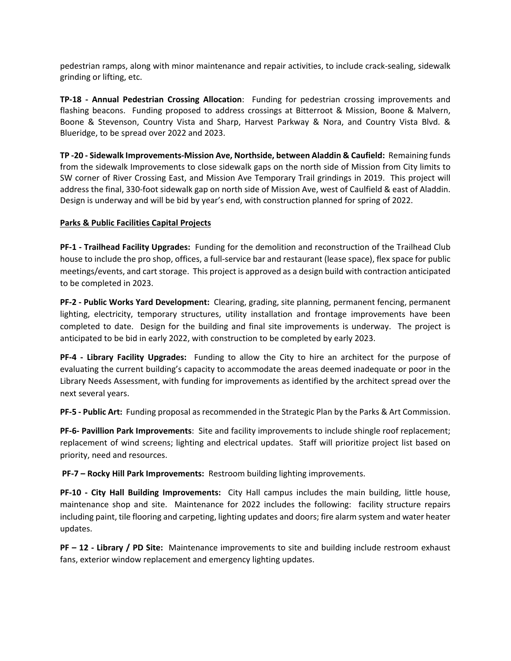pedestrian ramps, along with minor maintenance and repair activities, to include crack-sealing, sidewalk grinding or lifting, etc.

**TP-18 - Annual Pedestrian Crossing Allocation**: Funding for pedestrian crossing improvements and flashing beacons. Funding proposed to address crossings at Bitterroot & Mission, Boone & Malvern, Boone & Stevenson, Country Vista and Sharp, Harvest Parkway & Nora, and Country Vista Blvd. & Blueridge, to be spread over 2022 and 2023.

**TP -20 - Sidewalk Improvements-Mission Ave, Northside, between Aladdin & Caufield:** Remaining funds from the sidewalk Improvements to close sidewalk gaps on the north side of Mission from City limits to SW corner of River Crossing East, and Mission Ave Temporary Trail grindings in 2019. This project will address the final, 330-foot sidewalk gap on north side of Mission Ave, west of Caulfield & east of Aladdin. Design is underway and will be bid by year's end, with construction planned for spring of 2022.

## **Parks & Public Facilities Capital Projects**

**PF-1 - Trailhead Facility Upgrades:** Funding for the demolition and reconstruction of the Trailhead Club house to include the pro shop, offices, a full-service bar and restaurant (lease space), flex space for public meetings/events, and cart storage. This project is approved as a design build with contraction anticipated to be completed in 2023.

**PF-2 - Public Works Yard Development:** Clearing, grading, site planning, permanent fencing, permanent lighting, electricity, temporary structures, utility installation and frontage improvements have been completed to date. Design for the building and final site improvements is underway. The project is anticipated to be bid in early 2022, with construction to be completed by early 2023.

**PF-4 - Library Facility Upgrades:** Funding to allow the City to hire an architect for the purpose of evaluating the current building's capacity to accommodate the areas deemed inadequate or poor in the Library Needs Assessment, with funding for improvements as identified by the architect spread over the next several years.

**PF-5 - Public Art:** Funding proposal as recommended in the Strategic Plan by the Parks & Art Commission.

**PF-6- Pavillion Park Improvements**: Site and facility improvements to include shingle roof replacement; replacement of wind screens; lighting and electrical updates. Staff will prioritize project list based on priority, need and resources.

**PF-7 – Rocky Hill Park Improvements:** Restroom building lighting improvements.

**PF-10 - City Hall Building Improvements:** City Hall campus includes the main building, little house, maintenance shop and site. Maintenance for 2022 includes the following: facility structure repairs including paint, tile flooring and carpeting, lighting updates and doors; fire alarm system and water heater updates.

**PF – 12 - Library / PD Site:** Maintenance improvements to site and building include restroom exhaust fans, exterior window replacement and emergency lighting updates.